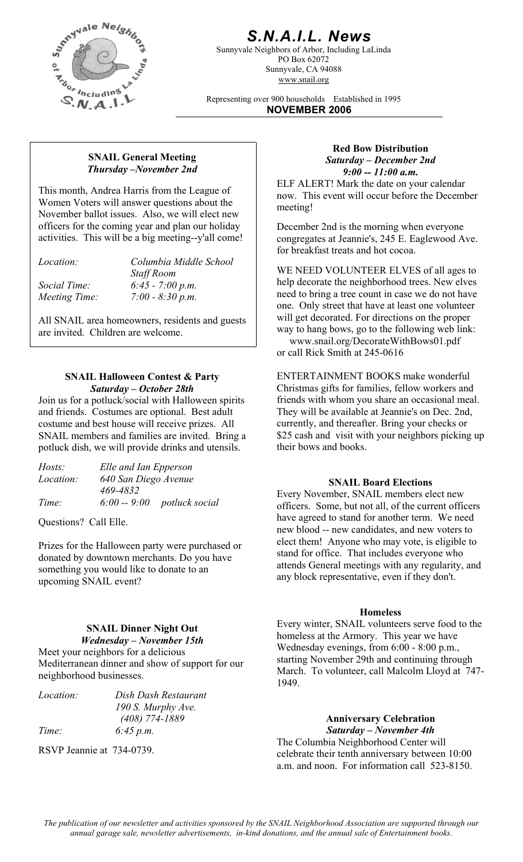

## *S.N.A.I.L. News*

Sunnyvale Neighbors of Arbor, Including LaLinda PO Box 62072 Sunnyvale, CA 94088 www.snail.org

Representing over 900 households Established in 1995 **NOVEMBER 2006**

#### **SNAIL General Meeting**  *Thursday –November 2nd*

This month, Andrea Harris from the League of Women Voters will answer questions about the November ballot issues. Also, we will elect new officers for the coming year and plan our holiday activities. This will be a big meeting--y'all come!

| Columbia Middle School |
|------------------------|
| <b>Staff Room</b>      |
| $6:45 - 7:00 p.m.$     |
| $7:00 - 8:30 p.m.$     |
|                        |

All SNAIL area homeowners, residents and guests are invited. Children are welcome.

#### **SNAIL Halloween Contest & Party**  *Saturday – October 28th*

Join us for a potluck/social with Halloween spirits and friends. Costumes are optional. Best adult costume and best house will receive prizes. All SNAIL members and families are invited. Bring a potluck dish, we will provide drinks and utensils.

| Elle and Ian Epperson |                              |
|-----------------------|------------------------------|
| 640 San Diego Avenue  |                              |
| 469-4832              |                              |
|                       | $6:00 - 9:00$ potluck social |
|                       |                              |

Questions? Call Elle.

Prizes for the Halloween party were purchased or donated by downtown merchants. Do you have something you would like to donate to an upcoming SNAIL event?

#### **SNAIL Dinner Night Out**  *Wednesday – November 15th*

Meet your neighbors for a delicious Mediterranean dinner and show of support for our neighborhood businesses.

| <i>Location:</i> | Dish Dash Restaurant |
|------------------|----------------------|
|                  | 190 S. Murphy Ave.   |
|                  | $(408)$ 774-1889     |
| Time:            | 6:45 p.m.            |

RSVP Jeannie at 734-0739.

#### **Red Bow Distribution**  *Saturday – December 2nd 9:00 -- 11:00 a.m.*

ELF ALERT! Mark the date on your calendar now. This event will occur before the December meeting!

December 2nd is the morning when everyone congregates at Jeannie's, 245 E. Eaglewood Ave. for breakfast treats and hot cocoa.

WE NEED VOLUNTEER ELVES of all ages to help decorate the neighborhood trees. New elves need to bring a tree count in case we do not have one. Only street that have at least one volunteer will get decorated. For directions on the proper way to hang bows, go to the following web link:

 www.snail.org/DecorateWithBows01.pdf or call Rick Smith at 245-0616

ENTERTAINMENT BOOKS make wonderful Christmas gifts for families, fellow workers and friends with whom you share an occasional meal. They will be available at Jeannie's on Dec. 2nd, currently, and thereafter. Bring your checks or \$25 cash and visit with your neighbors picking up their bows and books.

#### *Location: 640 San Diego Avenue* **SNAIL Board Elections**

Every November, SNAIL members elect new officers. Some, but not all, of the current officers have agreed to stand for another term. We need new blood -- new candidates, and new voters to elect them! Anyone who may vote, is eligible to stand for office. That includes everyone who attends General meetings with any regularity, and any block representative, even if they don't.

#### **Homeless**

Every winter, SNAIL volunteers serve food to the homeless at the Armory. This year we have Wednesday evenings, from 6:00 - 8:00 p.m., starting November 29th and continuing through March. To volunteer, call Malcolm Lloyd at 747- 1949.

> **Anniversary Celebration**  *Saturday – November 4th*

The Columbia Neighborhood Center will celebrate their tenth anniversary between 10:00 a.m. and noon. For information call 523-8150.